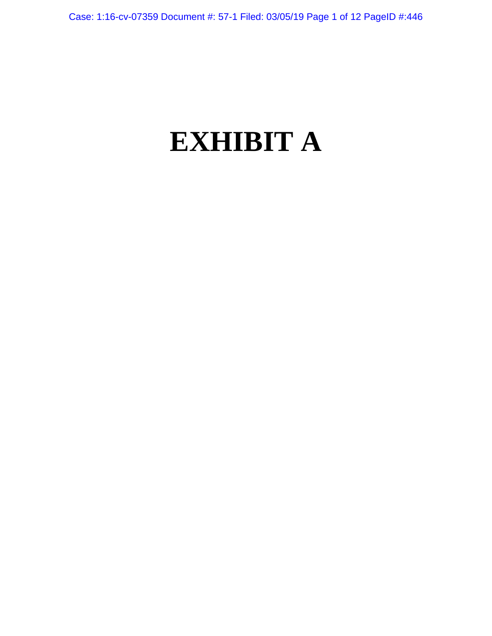# **EXHIBIT A**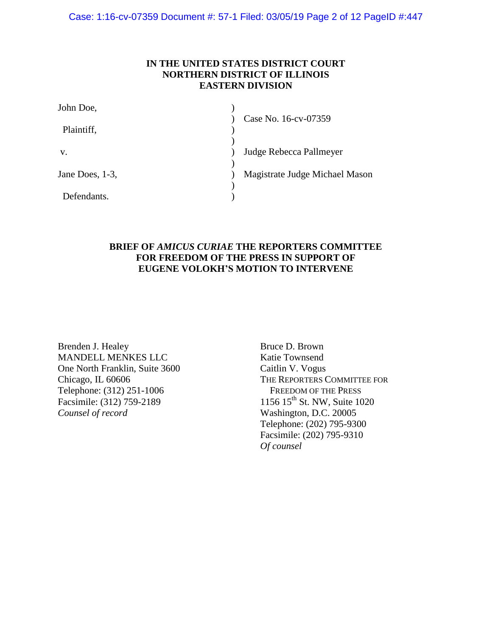Case: 1:16-cv-07359 Document #: 57-1 Filed: 03/05/19 Page 2 of 12 PageID #:447

## **IN THE UNITED STATES DISTRICT COURT NORTHERN DISTRICT OF ILLINOIS EASTERN DIVISION**

| John Doe,       |                                |
|-----------------|--------------------------------|
| Plaintiff,      | Case No. 16-cv-07359           |
| V.              | Judge Rebecca Pallmeyer        |
| Jane Does, 1-3, | Magistrate Judge Michael Mason |
| Defendants.     |                                |

## **BRIEF OF** *AMICUS CURIAE* **THE REPORTERS COMMITTEE FOR FREEDOM OF THE PRESS IN SUPPORT OF EUGENE VOLOKH'S MOTION TO INTERVENE**

Brenden J. Healey MANDELL MENKES LLC One North Franklin, Suite 3600 Chicago, IL 60606 Telephone: (312) 251-1006 Facsimile: (312) 759-2189 *Counsel of record*

Bruce D. Brown Katie Townsend Caitlin V. Vogus THE REPORTERS COMMITTEE FOR FREEDOM OF THE PRESS 1156 15<sup>th</sup> St. NW, Suite 1020 Washington, D.C. 20005 Telephone: (202) 795-9300 Facsimile: (202) 795-9310 *Of counsel*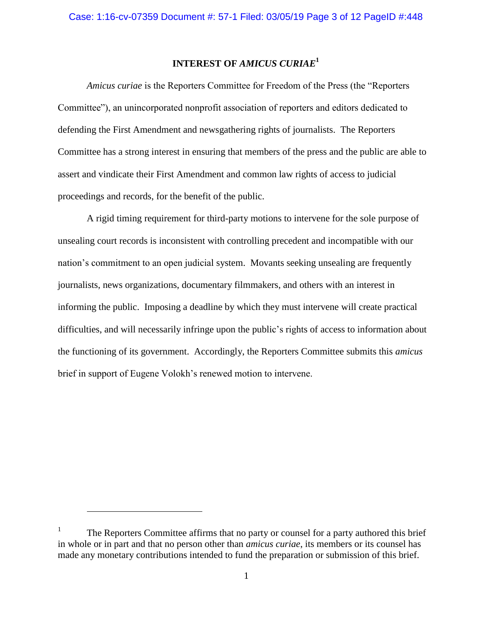# **INTEREST OF** *AMICUS CURIAE***<sup>1</sup>**

*Amicus curiae* is the Reporters Committee for Freedom of the Press (the "Reporters Committee"), an unincorporated nonprofit association of reporters and editors dedicated to defending the First Amendment and newsgathering rights of journalists. The Reporters Committee has a strong interest in ensuring that members of the press and the public are able to assert and vindicate their First Amendment and common law rights of access to judicial proceedings and records, for the benefit of the public.

A rigid timing requirement for third-party motions to intervene for the sole purpose of unsealing court records is inconsistent with controlling precedent and incompatible with our nation's commitment to an open judicial system. Movants seeking unsealing are frequently journalists, news organizations, documentary filmmakers, and others with an interest in informing the public. Imposing a deadline by which they must intervene will create practical difficulties, and will necessarily infringe upon the public's rights of access to information about the functioning of its government. Accordingly, the Reporters Committee submits this *amicus* brief in support of Eugene Volokh's renewed motion to intervene.

 $\overline{a}$ 

<sup>1</sup> The Reporters Committee affirms that no party or counsel for a party authored this brief in whole or in part and that no person other than *amicus curiae*, its members or its counsel has made any monetary contributions intended to fund the preparation or submission of this brief.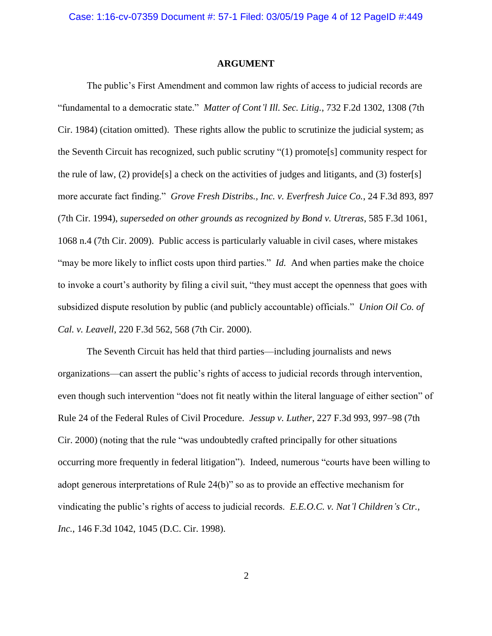#### **ARGUMENT**

The public's First Amendment and common law rights of access to judicial records are "fundamental to a democratic state." *Matter of Cont'l Ill. Sec. Litig.*, 732 F.2d 1302, 1308 (7th Cir. 1984) (citation omitted). These rights allow the public to scrutinize the judicial system; as the Seventh Circuit has recognized, such public scrutiny "(1) promote[s] community respect for the rule of law, (2) provide<sup>[s]</sup> a check on the activities of judges and litigants, and (3) foster<sup>[s]</sup> more accurate fact finding." *Grove Fresh Distribs., Inc. v. Everfresh Juice Co.*, 24 F.3d 893, 897 (7th Cir. 1994), *superseded on other grounds as recognized by Bond v. Utreras*, 585 F.3d 1061, 1068 n.4 (7th Cir. 2009). Public access is particularly valuable in civil cases, where mistakes "may be more likely to inflict costs upon third parties." *Id.* And when parties make the choice to invoke a court's authority by filing a civil suit, "they must accept the openness that goes with subsidized dispute resolution by public (and publicly accountable) officials." *Union Oil Co. of Cal. v. Leavell*, 220 F.3d 562, 568 (7th Cir. 2000).

The Seventh Circuit has held that third parties—including journalists and news organizations—can assert the public's rights of access to judicial records through intervention, even though such intervention "does not fit neatly within the literal language of either section" of Rule 24 of the Federal Rules of Civil Procedure. *Jessup v. Luther*, 227 F.3d 993, 997–98 (7th Cir. 2000) (noting that the rule "was undoubtedly crafted principally for other situations occurring more frequently in federal litigation"). Indeed, numerous "courts have been willing to adopt generous interpretations of Rule 24(b)" so as to provide an effective mechanism for vindicating the public's rights of access to judicial records. *E.E.O.C. v. Nat'l Children's Ctr., Inc.*, 146 F.3d 1042, 1045 (D.C. Cir. 1998).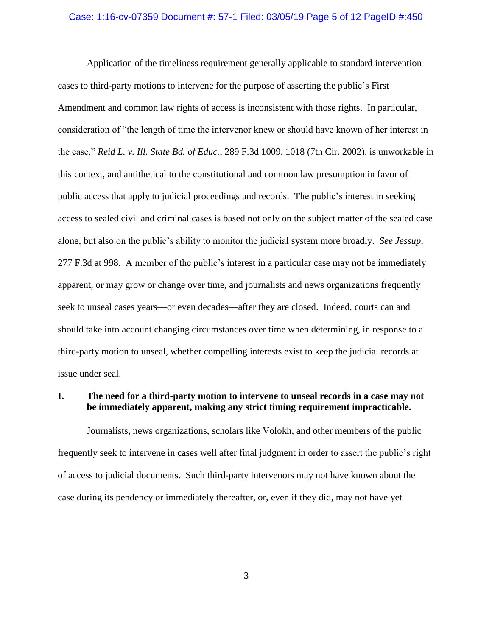## Case: 1:16-cv-07359 Document #: 57-1 Filed: 03/05/19 Page 5 of 12 PageID #:450

Application of the timeliness requirement generally applicable to standard intervention cases to third-party motions to intervene for the purpose of asserting the public's First Amendment and common law rights of access is inconsistent with those rights. In particular, consideration of "the length of time the intervenor knew or should have known of her interest in the case," *Reid L. v. Ill. State Bd. of Educ.*, 289 F.3d 1009, 1018 (7th Cir. 2002), is unworkable in this context, and antithetical to the constitutional and common law presumption in favor of public access that apply to judicial proceedings and records. The public's interest in seeking access to sealed civil and criminal cases is based not only on the subject matter of the sealed case alone, but also on the public's ability to monitor the judicial system more broadly. *See Jessup*, 277 F.3d at 998. A member of the public's interest in a particular case may not be immediately apparent, or may grow or change over time, and journalists and news organizations frequently seek to unseal cases years—or even decades—after they are closed. Indeed, courts can and should take into account changing circumstances over time when determining, in response to a third-party motion to unseal, whether compelling interests exist to keep the judicial records at issue under seal.

## **I. The need for a third-party motion to intervene to unseal records in a case may not be immediately apparent, making any strict timing requirement impracticable.**

Journalists, news organizations, scholars like Volokh, and other members of the public frequently seek to intervene in cases well after final judgment in order to assert the public's right of access to judicial documents. Such third-party intervenors may not have known about the case during its pendency or immediately thereafter, or, even if they did, may not have yet

3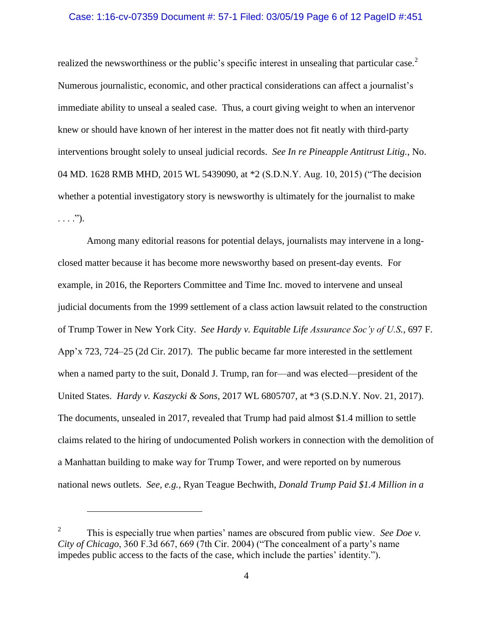#### Case: 1:16-cv-07359 Document #: 57-1 Filed: 03/05/19 Page 6 of 12 PageID #:451

realized the newsworthiness or the public's specific interest in unsealing that particular case.<sup>2</sup> Numerous journalistic, economic, and other practical considerations can affect a journalist's immediate ability to unseal a sealed case. Thus, a court giving weight to when an intervenor knew or should have known of her interest in the matter does not fit neatly with third-party interventions brought solely to unseal judicial records. *See In re Pineapple Antitrust Litig.*, No. 04 MD. 1628 RMB MHD, 2015 WL 5439090, at \*2 (S.D.N.Y. Aug. 10, 2015) ("The decision whether a potential investigatory story is newsworthy is ultimately for the journalist to make  $\ldots$ .").

Among many editorial reasons for potential delays, journalists may intervene in a longclosed matter because it has become more newsworthy based on present-day events. For example, in 2016, the Reporters Committee and Time Inc. moved to intervene and unseal judicial documents from the 1999 settlement of a class action lawsuit related to the construction of Trump Tower in New York City. *See Hardy v. Equitable Life Assurance Soc'y of U.S.*, 697 F. App'x 723, 724–25 (2d Cir. 2017). The public became far more interested in the settlement when a named party to the suit, Donald J. Trump, ran for—and was elected—president of the United States. *Hardy v. Kaszycki & Sons*, 2017 WL 6805707, at \*3 (S.D.N.Y. Nov. 21, 2017). The documents, unsealed in 2017, revealed that Trump had paid almost \$1.4 million to settle claims related to the hiring of undocumented Polish workers in connection with the demolition of a Manhattan building to make way for Trump Tower, and were reported on by numerous national news outlets. *See, e.g.*, Ryan Teague Bechwith, *Donald Trump Paid \$1.4 Million in a* 

 $\overline{a}$ 

<sup>2</sup> This is especially true when parties' names are obscured from public view. *See Doe v. City of Chicago*, 360 F.3d 667, 669 (7th Cir. 2004) ("The concealment of a party's name impedes public access to the facts of the case, which include the parties' identity.").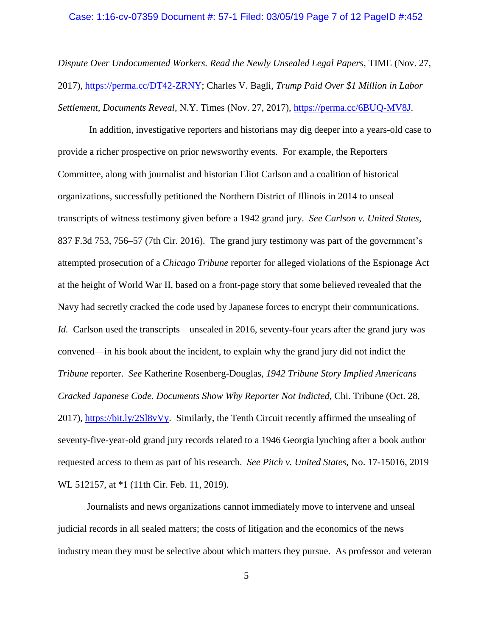#### Case: 1:16-cv-07359 Document #: 57-1 Filed: 03/05/19 Page 7 of 12 PageID #:452

*Dispute Over Undocumented Workers. Read the Newly Unsealed Legal Papers*, TIME (Nov. 27, 2017), [https://perma.cc/DT42-ZRNY;](https://perma.cc/DT42-ZRNY) Charles V. Bagli, *Trump Paid Over \$1 Million in Labor Settlement, Documents Reveal*, N.Y. Times (Nov. 27, 2017), [https://perma.cc/6BUQ-MV8J.](https://perma.cc/6BUQ-MV8J)

In addition, investigative reporters and historians may dig deeper into a years-old case to provide a richer prospective on prior newsworthy events. For example, the Reporters Committee, along with journalist and historian Eliot Carlson and a coalition of historical organizations, successfully petitioned the Northern District of Illinois in 2014 to unseal transcripts of witness testimony given before a 1942 grand jury. *See Carlson v. United States*, 837 F.3d 753, 756–57 (7th Cir. 2016). The grand jury testimony was part of the government's attempted prosecution of a *Chicago Tribune* reporter for alleged violations of the Espionage Act at the height of World War II, based on a front-page story that some believed revealed that the Navy had secretly cracked the code used by Japanese forces to encrypt their communications. *Id.* Carlson used the transcripts—unsealed in 2016, seventy-four years after the grand jury was convened—in his book about the incident, to explain why the grand jury did not indict the *Tribune* reporter. *See* Katherine Rosenberg-Douglas, *1942 Tribune Story Implied Americans Cracked Japanese Code. Documents Show Why Reporter Not Indicted*, Chi. Tribune (Oct. 28, 2017), [https://bit.ly/2Sl8vVy.](https://bit.ly/2Sl8vVy) Similarly, the Tenth Circuit recently affirmed the unsealing of seventy-five-year-old grand jury records related to a 1946 Georgia lynching after a book author requested access to them as part of his research. *See Pitch v. United States*, No. 17-15016, 2019 WL 512157, at  $*1$  (11th Cir. Feb. 11, 2019).

Journalists and news organizations cannot immediately move to intervene and unseal judicial records in all sealed matters; the costs of litigation and the economics of the news industry mean they must be selective about which matters they pursue. As professor and veteran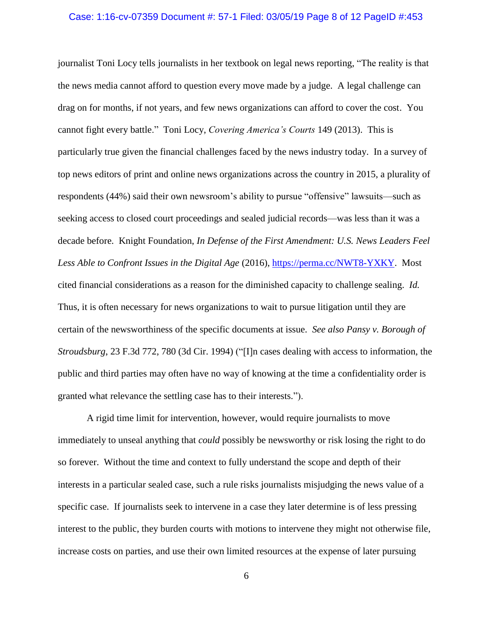#### Case: 1:16-cv-07359 Document #: 57-1 Filed: 03/05/19 Page 8 of 12 PageID #:453

journalist Toni Locy tells journalists in her textbook on legal news reporting, "The reality is that the news media cannot afford to question every move made by a judge. A legal challenge can drag on for months, if not years, and few news organizations can afford to cover the cost. You cannot fight every battle." Toni Locy, *Covering America's Courts* 149 (2013). This is particularly true given the financial challenges faced by the news industry today. In a survey of top news editors of print and online news organizations across the country in 2015, a plurality of respondents (44%) said their own newsroom's ability to pursue "offensive" lawsuits—such as seeking access to closed court proceedings and sealed judicial records—was less than it was a decade before. Knight Foundation, *In Defense of the First Amendment: U.S. News Leaders Feel Less Able to Confront Issues in the Digital Age* (2016), [https://perma.cc/NWT8-YXKY.](https://perma.cc/NWT8-YXKY) Most cited financial considerations as a reason for the diminished capacity to challenge sealing. *Id.*  Thus, it is often necessary for news organizations to wait to pursue litigation until they are certain of the newsworthiness of the specific documents at issue. *See also Pansy v. Borough of Stroudsburg*, 23 F.3d 772, 780 (3d Cir. 1994) ("[I]n cases dealing with access to information, the public and third parties may often have no way of knowing at the time a confidentiality order is granted what relevance the settling case has to their interests.").

A rigid time limit for intervention, however, would require journalists to move immediately to unseal anything that *could* possibly be newsworthy or risk losing the right to do so forever. Without the time and context to fully understand the scope and depth of their interests in a particular sealed case, such a rule risks journalists misjudging the news value of a specific case. If journalists seek to intervene in a case they later determine is of less pressing interest to the public, they burden courts with motions to intervene they might not otherwise file, increase costs on parties, and use their own limited resources at the expense of later pursuing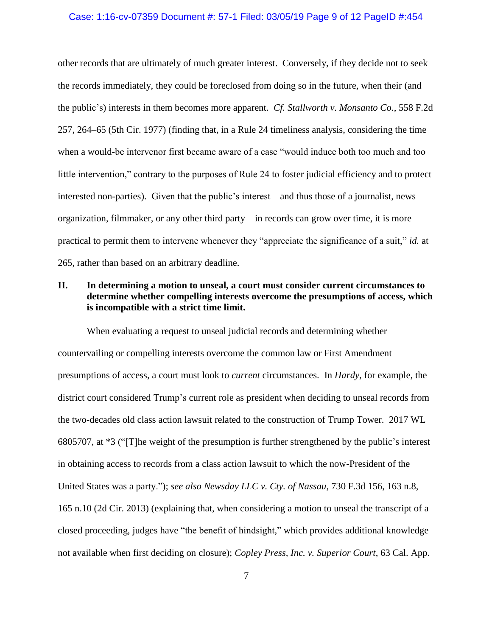#### Case: 1:16-cv-07359 Document #: 57-1 Filed: 03/05/19 Page 9 of 12 PageID #:454

other records that are ultimately of much greater interest. Conversely, if they decide not to seek the records immediately, they could be foreclosed from doing so in the future, when their (and the public's) interests in them becomes more apparent. *Cf. Stallworth v. Monsanto Co.*, 558 F.2d 257, 264–65 (5th Cir. 1977) (finding that, in a Rule 24 timeliness analysis, considering the time when a would-be intervenor first became aware of a case "would induce both too much and too little intervention," contrary to the purposes of Rule 24 to foster judicial efficiency and to protect interested non-parties). Given that the public's interest—and thus those of a journalist, news organization, filmmaker, or any other third party—in records can grow over time, it is more practical to permit them to intervene whenever they "appreciate the significance of a suit," *id.* at 265, rather than based on an arbitrary deadline.

## **II. In determining a motion to unseal, a court must consider current circumstances to determine whether compelling interests overcome the presumptions of access, which is incompatible with a strict time limit.**

When evaluating a request to unseal judicial records and determining whether countervailing or compelling interests overcome the common law or First Amendment presumptions of access, a court must look to *current* circumstances. In *Hardy*, for example, the district court considered Trump's current role as president when deciding to unseal records from the two-decades old class action lawsuit related to the construction of Trump Tower. 2017 WL 6805707, at \*3 ("[T]he weight of the presumption is further strengthened by the public's interest in obtaining access to records from a class action lawsuit to which the now-President of the United States was a party."); *see also Newsday LLC v. Cty. of Nassau*, 730 F.3d 156, 163 n.8, 165 n.10 (2d Cir. 2013) (explaining that, when considering a motion to unseal the transcript of a closed proceeding, judges have "the benefit of hindsight," which provides additional knowledge not available when first deciding on closure); *Copley Press, Inc. v. Superior Court*, 63 Cal. App.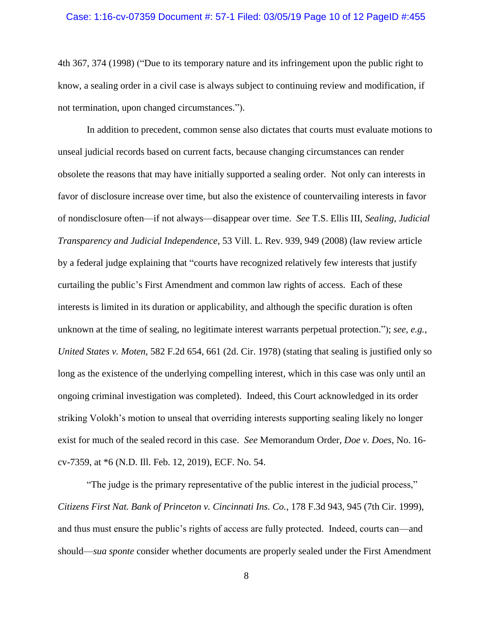## Case: 1:16-cv-07359 Document #: 57-1 Filed: 03/05/19 Page 10 of 12 PageID #:455

4th 367, 374 (1998) ("Due to its temporary nature and its infringement upon the public right to know, a sealing order in a civil case is always subject to continuing review and modification, if not termination, upon changed circumstances.").

In addition to precedent, common sense also dictates that courts must evaluate motions to unseal judicial records based on current facts, because changing circumstances can render obsolete the reasons that may have initially supported a sealing order. Not only can interests in favor of disclosure increase over time, but also the existence of countervailing interests in favor of nondisclosure often—if not always—disappear over time. *See* T.S. Ellis III, *Sealing, Judicial Transparency and Judicial Independence*, 53 Vill. L. Rev. 939, 949 (2008) (law review article by a federal judge explaining that "courts have recognized relatively few interests that justify curtailing the public's First Amendment and common law rights of access. Each of these interests is limited in its duration or applicability, and although the specific duration is often unknown at the time of sealing, no legitimate interest warrants perpetual protection."); *see, e.g.*, *United States v. Moten*, 582 F.2d 654, 661 (2d. Cir. 1978) (stating that sealing is justified only so long as the existence of the underlying compelling interest, which in this case was only until an ongoing criminal investigation was completed). Indeed, this Court acknowledged in its order striking Volokh's motion to unseal that overriding interests supporting sealing likely no longer exist for much of the sealed record in this case. *See* Memorandum Order, *Doe v. Does*, No. 16 cv-7359, at \*6 (N.D. Ill. Feb. 12, 2019), ECF. No. 54.

"The judge is the primary representative of the public interest in the judicial process," *Citizens First Nat. Bank of Princeton v. Cincinnati Ins. Co.*, 178 F.3d 943, 945 (7th Cir. 1999), and thus must ensure the public's rights of access are fully protected. Indeed, courts can—and should—*sua sponte* consider whether documents are properly sealed under the First Amendment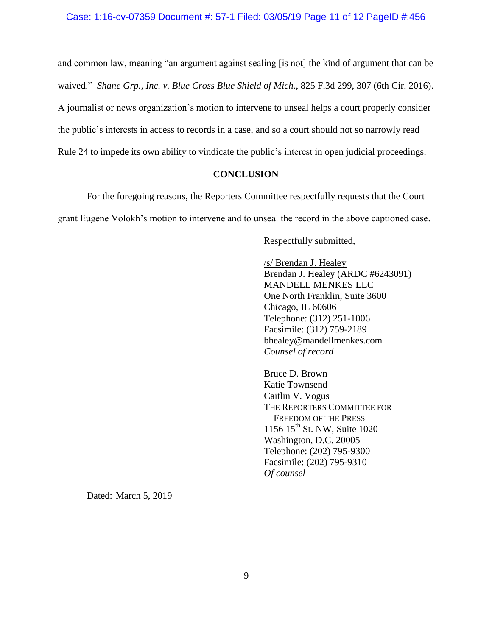and common law, meaning "an argument against sealing [is not] the kind of argument that can be waived." *Shane Grp., Inc. v. Blue Cross Blue Shield of Mich.*, 825 F.3d 299, 307 (6th Cir. 2016). A journalist or news organization's motion to intervene to unseal helps a court properly consider the public's interests in access to records in a case, and so a court should not so narrowly read Rule 24 to impede its own ability to vindicate the public's interest in open judicial proceedings.

#### **CONCLUSION**

For the foregoing reasons, the Reporters Committee respectfully requests that the Court grant Eugene Volokh's motion to intervene and to unseal the record in the above captioned case.

Respectfully submitted,

/s/ Brendan J. Healey Brendan J. Healey (ARDC #6243091) MANDELL MENKES LLC One North Franklin, Suite 3600 Chicago, IL 60606 Telephone: (312) 251-1006 Facsimile: (312) 759-2189 bhealey@mandellmenkes.com *Counsel of record*

Bruce D. Brown Katie Townsend Caitlin V. Vogus THE REPORTERS COMMITTEE FOR FREEDOM OF THE PRESS 1156 15<sup>th</sup> St. NW, Suite 1020 Washington, D.C. 20005 Telephone: (202) 795-9300 Facsimile: (202) 795-9310 *Of counsel*

Dated: March 5, 2019